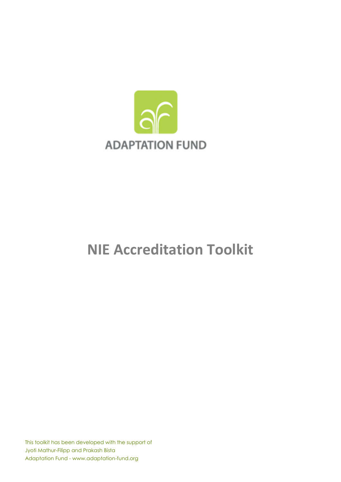

# **NIE Accreditation Toolkit**

This toolkit has been developed with the support of Jyoti Mathur-Filipp and Prakash Bista Adaptation Fund - www.adaptation-fund.org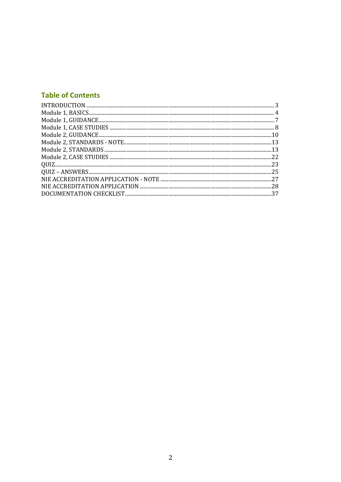# **Table of Contents**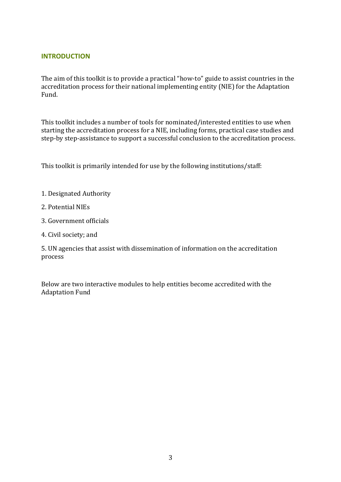## **INTRODUCTION**

The aim of this toolkit is to provide a practical "how-to" guide to assist countries in the accreditation process for their national implementing entity (NIE) for the Adaptation Fund.

This toolkit includes a number of tools for nominated/interested entities to use when starting the accreditation process for a NIE, including forms, practical case studies and step-by step-assistance to support a successful conclusion to the accreditation process.

This toolkit is primarily intended for use by the following institutions/staff:

- 1. Designated Authority
- 2. Potential NIEs
- 3. Government officials
- 4. Civil society; and

5. UN agencies that assist with dissemination of information on the accreditation process

Below are two interactive modules to help entities become accredited with the Adaptation Fund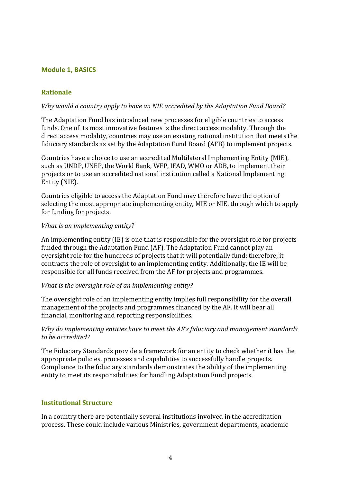## **Module 1, BASICS**

## **Rationale**

#### *Why would a country apply to have an NIE accredited by the Adaptation Fund Board?*

The Adaptation Fund has introduced new processes for eligible countries to access funds. One of its most innovative features is the direct access modality. Through the direct access modality, countries may use an existing national institution that meets the fiduciary standards as set by the Adaptation Fund Board (AFB) to implement projects.

Countries have a choice to use an accredited Multilateral Implementing Entity (MIE), such as UNDP, UNEP, the World Bank, WFP, IFAD, WMO or ADB, to implement their projects or to use an accredited national institution called a National Implementing Entity (NIE).

Countries eligible to access the Adaptation Fund may therefore have the option of selecting the most appropriate implementing entity, MIE or NIE, through which to apply for funding for projects.

#### *What is an implementing entity?*

An implementing entity (IE) is one that is responsible for the oversight role for projects funded through the Adaptation Fund (AF). The Adaptation Fund cannot play an oversight role for the hundreds of projects that it will potentially fund; therefore, it contracts the role of oversight to an implementing entity. Additionally, the IE will be responsible for all funds received from the AF for projects and programmes.

#### *What is the oversight role of an implementing entity?*

The oversight role of an implementing entity implies full responsibility for the overall management of the projects and programmes financed by the AF. It will bear all financial, monitoring and reporting responsibilities.

#### *Why do implementing entities have to meet the AF's fiduciary and management standards to be accredited?*

The Fiduciary Standards provide a framework for an entity to check whether it has the appropriate policies, processes and capabilities to successfully handle projects. Compliance to the fiduciary standards demonstrates the ability of the implementing entity to meet its responsibilities for handling Adaptation Fund projects.

#### **Institutional Structure**

In a country there are potentially several institutions involved in the accreditation process. These could include various Ministries, government departments, academic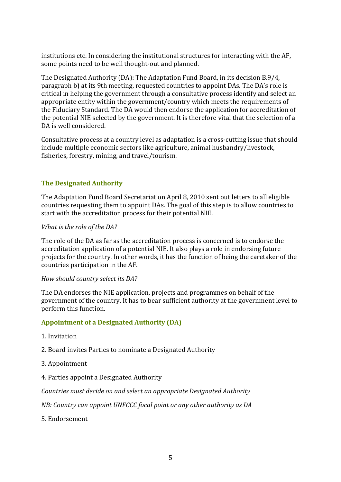institutions etc. In considering the institutional structures for interacting with the AF, some points need to be well thought-out and planned.

The Designated Authority (DA): The Adaptation Fund Board, in its decision B.9/4, paragraph b) at its 9th meeting, requested countries to appoint DAs. The DA's role is critical in helping the government through a consultative process identify and select an appropriate entity within the government/country which meets the requirements of the Fiduciary Standard. The DA would then endorse the application for accreditation of the potential NIE selected by the government. It is therefore vital that the selection of a DA is well considered.

Consultative process at a country level as adaptation is a cross-cutting issue that should include multiple economic sectors like agriculture, animal husbandry/livestock, fisheries, forestry, mining, and travel/tourism.

## **The Designated Authority**

The Adaptation Fund Board Secretariat on April 8, 2010 sent out letters to all eligible countries requesting them to appoint DAs. The goal of this step is to allow countries to start with the accreditation process for their potential NIE.

#### *What is the role of the DA?*

The role of the DA as far as the accreditation process is concerned is to endorse the accreditation application of a potential NIE. It also plays a role in endorsing future projects for the country. In other words, it has the function of being the caretaker of the countries participation in the AF.

#### *How should country select its DA?*

The DA endorses the NIE application, projects and programmes on behalf of the government of the country. It has to bear sufficient authority at the government level to perform this function.

#### **Appointment of a Designated Authority (DA)**

- 1. Invitation
- 2. Board invites Parties to nominate a Designated Authority
- 3. Appointment
- 4. Parties appoint a Designated Authority

*Countries must decide on and select an appropriate Designated Authority* 

*NB: Country can appoint UNFCCC focal point or any other authority as DA*

5. Endorsement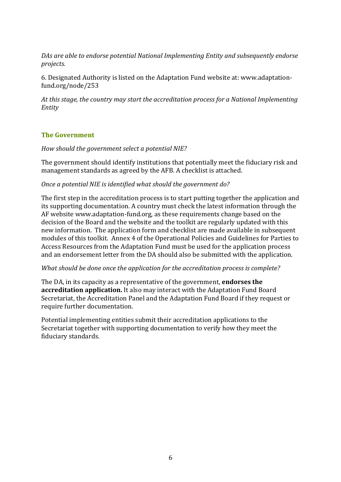*DAs are able to endorse potential National Implementing Entity and subsequently endorse projects.*

6. Designated Authority is listed on the Adaptation Fund website at: www.adaptationfund.org/node/253

*At this stage, the country may start the accreditation process for a National Implementing Entity*

## **The Government**

*How should the government select a potential NIE?*

The government should identify institutions that potentially meet the fiduciary risk and management standards as agreed by the AFB. A checklist is attached.

#### *Once a potential NIE is identified what should the government do?*

The first step in the accreditation process is to start putting together the application and its supporting documentation. A country must check the latest information through the AF website www.adaptation-fund.org, as these requirements change based on the decision of the Board and the website and the toolkit are regularly updated with this new information. The application form and checklist are made available in subsequent modules of this toolkit. Annex 4 of the Operational Policies and Guidelines for Parties to Access Resources from the Adaptation Fund must be used for the application process and an endorsement letter from the DA should also be submitted with the application.

#### *What should be done once the application for the accreditation process is complete?*

The DA, in its capacity as a representative of the government, **endorses the accreditation application.** It also may interact with the Adaptation Fund Board Secretariat, the Accreditation Panel and the Adaptation Fund Board if they request or require further documentation.

Potential implementing entities submit their accreditation applications to the Secretariat together with supporting documentation to verify how they meet the fiduciary standards.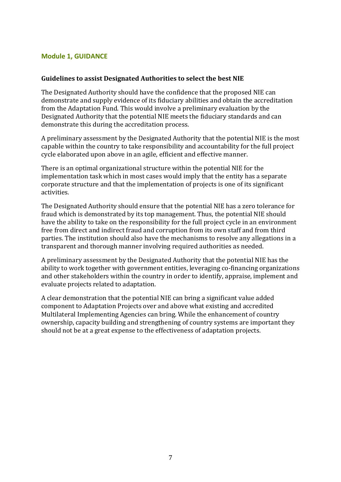## **Module 1, GUIDANCE**

#### **Guidelines to assist Designated Authorities to select the best NIE**

The Designated Authority should have the confidence that the proposed NIE can demonstrate and supply evidence of its fiduciary abilities and obtain the accreditation from the Adaptation Fund. This would involve a preliminary evaluation by the Designated Authority that the potential NIE meets the fiduciary standards and can demonstrate this during the accreditation process.

A preliminary assessment by the Designated Authority that the potential NIE is the most capable within the country to take responsibility and accountability for the full project cycle elaborated upon above in an agile, efficient and effective manner.

There is an optimal organizational structure within the potential NIE for the implementation task which in most cases would imply that the entity has a separate corporate structure and that the implementation of projects is one of its significant activities.

The Designated Authority should ensure that the potential NIE has a zero tolerance for fraud which is demonstrated by its top management. Thus, the potential NIE should have the ability to take on the responsibility for the full project cycle in an environment free from direct and indirect fraud and corruption from its own staff and from third parties. The institution should also have the mechanisms to resolve any allegations in a transparent and thorough manner involving required authorities as needed.

A preliminary assessment by the Designated Authority that the potential NIE has the ability to work together with government entities, leveraging co-financing organizations and other stakeholders within the country in order to identify, appraise, implement and evaluate projects related to adaptation.

A clear demonstration that the potential NIE can bring a significant value added component to Adaptation Projects over and above what existing and accredited Multilateral Implementing Agencies can bring. While the enhancement of country ownership, capacity building and strengthening of country systems are important they should not be at a great expense to the effectiveness of adaptation projects.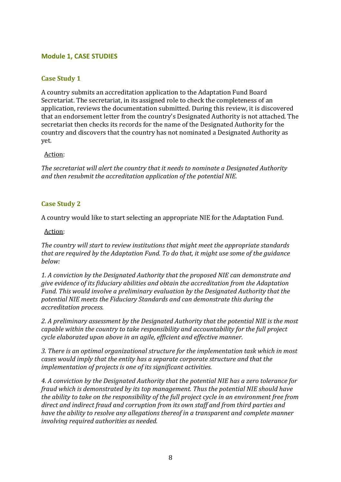## **Module 1, CASE STUDIES**

## **Case Study 1**

A country submits an accreditation application to the Adaptation Fund Board Secretariat. The secretariat, in its assigned role to check the completeness of an application, reviews the documentation submitted. During this review, it is discovered that an endorsement letter from the country's Designated Authority is not attached. The secretariat then checks its records for the name of the Designated Authority for the country and discovers that the country has not nominated a Designated Authority as yet.

#### Action:

*The secretariat will alert the country that it needs to nominate a Designated Authority and then resubmit the accreditation application of the potential NIE.*

#### **Case Study 2**

A country would like to start selecting an appropriate NIE for the Adaptation Fund.

Action:

*The country will start to review institutions that might meet the appropriate standards that are required by the Adaptation Fund. To do that, it might use some of the guidance below:*

*1. A conviction by the Designated Authority that the proposed NIE can demonstrate and give evidence of its fiduciary abilities and obtain the accreditation from the Adaptation Fund. This would involve a preliminary evaluation by the Designated Authority that the potential NIE meets the Fiduciary Standards and can demonstrate this during the accreditation process.*

*2. A preliminary assessment by the Designated Authority that the potential NIE is the most capable within the country to take responsibility and accountability for the full project cycle elaborated upon above in an agile, efficient and effective manner.*

*3. There is an optimal organizational structure for the implementation task which in most cases would imply that the entity has a separate corporate structure and that the implementation of projects is one of its significant activities.*

*4. A conviction by the Designated Authority that the potential NIE has a zero tolerance for fraud which is demonstrated by its top management. Thus the potential NIE should have the ability to take on the responsibility of the full project cycle in an environment free from direct and indirect fraud and corruption from its own staff and from third parties and have the ability to resolve any allegations thereof in a transparent and complete manner involving required authorities as needed.*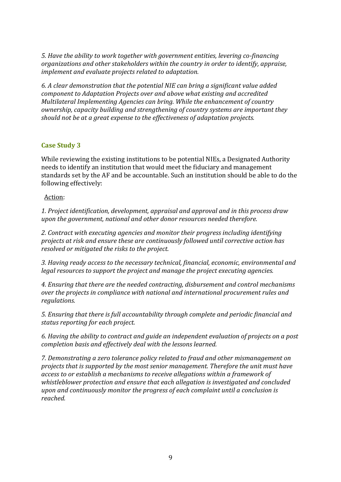*5. Have the ability to work together with government entities, levering co-financing organizations and other stakeholders within the country in order to identify, appraise, implement and evaluate projects related to adaptation.*

*6. A clear demonstration that the potential NIE can bring a significant value added component to Adaptation Projects over and above what existing and accredited Multilateral Implementing Agencies can bring. While the enhancement of country ownership, capacity building and strengthening of country systems are important they should not be at a great expense to the effectiveness of adaptation projects.*

#### **Case Study 3**

While reviewing the existing institutions to be potential NIEs, a Designated Authority needs to identify an institution that would meet the fiduciary and management standards set by the AF and be accountable. Such an institution should be able to do the following effectively:

#### Action:

*1. Project identification, development, appraisal and approval and in this process draw upon the government, national and other donor resources needed therefore.*

*2. Contract with executing agencies and monitor their progress including identifying projects at risk and ensure these are continuously followed until corrective action has resolved or mitigated the risks to the project.*

*3. Having ready access to the necessary technical, financial, economic, environmental and legal resources to support the project and manage the project executing agencies.*

*4. Ensuring that there are the needed contracting, disbursement and control mechanisms over the projects in compliance with national and international procurement rules and regulations.*

*5. Ensuring that there is full accountability through complete and periodic financial and status reporting for each project.*

*6. Having the ability to contract and guide an independent evaluation of projects on a post completion basis and effectively deal with the lessons learned.*

*7. Demonstrating a zero tolerance policy related to fraud and other mismanagement on projects that is supported by the most senior management. Therefore the unit must have access to or establish a mechanisms to receive allegations within a framework of whistleblower protection and ensure that each allegation is investigated and concluded upon and continuously monitor the progress of each complaint until a conclusion is reached.*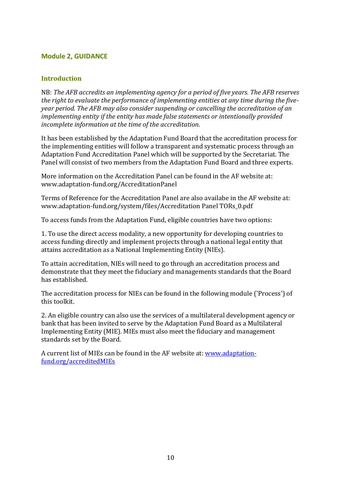## **Module 2, GUIDANCE**

## **Introduction**

NB: *The AFB accredits an implementing agency for a period of five years. The AFB reserves the right to evaluate the performance of implementing entities at any time during the fiveyear period. The AFB may also consider suspending or cancelling the accreditation of an implementing entity if the entity has made false statements or intentionally provided incomplete information at the time of the accreditation.* 

It has been established by the Adaptation Fund Board that the accreditation process for the implementing entities will follow a transparent and systematic process through an Adaptation Fund Accreditation Panel which will be supported by the Secretariat. The Panel will consist of two members from the Adaptation Fund Board and three experts.

More information on the Accreditation Panel can be found in the AF website at: www.adaptation-fund.org/AccreditationPanel

Terms of Reference for the Accreditation Panel are also availabe in the AF website at: www.adaptation-fund.org/system/files/Accreditation Panel TORs\_0.pdf

To access funds from the Adaptation Fund, eligible countries have two options:

1. To use the direct access modality, a new opportunity for developing countries to access funding directly and implement projects through a national legal entity that attains accreditation as a National Implementing Entity (NIEs).

To attain accreditation, NIEs will need to go through an accreditation process and demonstrate that they meet the fiduciary and managements standards that the Board has established.

The accreditation process for NIEs can be found in the following module ('Process') of this toolkit.

2. An eligible country can also use the services of a multilateral development agency or bank that has been invited to serve by the Adaptation Fund Board as a Multilateral Implementing Entity (MIE). MIEs must also meet the fiduciary and management standards set by the Board.

A current list of MIEs can be found in the AF website at: [www.adaptation](http://www.adaptation-fund.org/accreditedMIEs)[fund.org/accreditedMIEs](http://www.adaptation-fund.org/accreditedMIEs)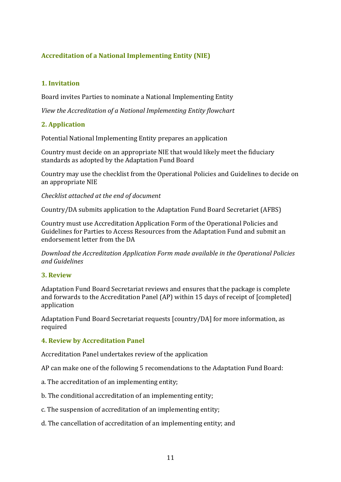## **Accreditation of a National Implementing Entity (NIE)**

## **1. Invitation**

Board invites Parties to nominate a National Implementing Entity

*View the Accreditation of a National Implementing Entity flowchart*

## **2. Application**

Potential National Implementing Entity prepares an application

Country must decide on an appropriate NIE that would likely meet the fiduciary standards as adopted by the Adaptation Fund Board

Country may use the checklist from the Operational Policies and Guidelines to decide on an appropriate NIE

*Checklist attached at the end of document*

Country/DA submits application to the Adaptation Fund Board Secretariet (AFBS)

Country must use Accreditation Application Form of the Operational Policies and Guidelines for Parties to Access Resources from the Adaptation Fund and submit an endorsement letter from the DA

*Download the Accreditation Application Form made available in the Operational Policies and Guidelines* 

#### **3. Review**

Adaptation Fund Board Secretariat reviews and ensures that the package is complete and forwards to the Accreditation Panel (AP) within 15 days of receipt of [completed] application

Adaptation Fund Board Secretariat requests [country/DA] for more information, as required

#### **4. Review by Accreditation Panel**

Accreditation Panel undertakes review of the application

AP can make one of the following 5 recomendations to the Adaptation Fund Board:

- a. The accreditation of an implementing entity;
- b. The conditional accreditation of an implementing entity;
- c. The suspension of accreditation of an implementing entity;
- d. The cancellation of accreditation of an implementing entity; and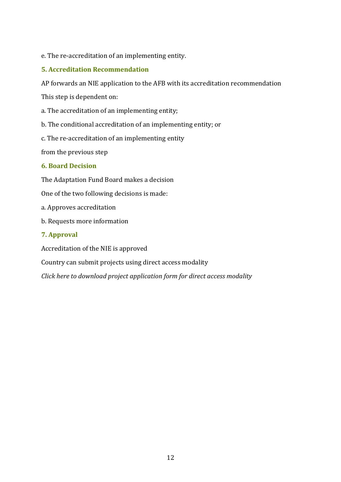## e. The re-accreditation of an implementing entity.

## **5. Accreditation Recommendation**

AP forwards an NIE application to the AFB with its accreditation recommendation

This step is dependent on:

a. The accreditation of an implementing entity;

b. The conditional accreditation of an implementing entity; or

c. The re-accreditation of an implementing entity

from the previous step

#### **6. Board Decision**

The Adaptation Fund Board makes a decision

One of the two following decisions is made:

- a. Approves accreditation
- b. Requests more information

#### **7. Approval**

Accreditation of the NIE is approved

Country can submit projects using direct access modality

*Click here to download project application form for direct access modality*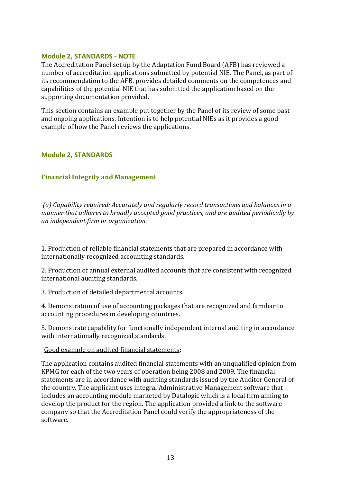#### **Module 2, STANDARDS - NOTE**

The Accreditation Panel set up by the Adaptation Fund Board (AFB) has reviewed a number of accreditation applications submitted by potential NIE. The Panel, as part of its recommendation to the AFB, provides detailed comments on the competences and capabilities of the potential NIE that has submitted the application based on the supporting documentation provided.

This section contains an example put together by the Panel of its review of some past and ongoing applications. Intention is to help potential NIEs as it provides a good example of how the Panel reviews the applications.

#### **Module 2, STANDARDS**

#### **Financial Integrity and Management**

*(a) Capability required: Accurately and regularly record transactions and balances in a manner that adheres to broadly accepted good practices, and are audited periodically by an independent firm or organization.*

1. Production of reliable financial statements that are prepared in accordance with internationally recognized accounting standards.

2. Production of annual external audited accounts that are consistent with recognized international auditing standards.

3. Production of detailed departmental accounts.

4. Demonstration of use of accounting packages that are recognized and familiar to accounting procedures in developing countries.

5. Demonstrate capability for functionally independent internal auditing in accordance with internationally recognized standards.

#### Good example on audited financial statements:

The application contains audited financial statements with an unqualified opinion from KPMG for each of the two years of operation being 2008 and 2009. The financial statements are in accordance with auditing standards issued by the Auditor General of the country. The applicant uses integral Administrative Management software that includes an accounting module marketed by Datalogic which is a local firm aiming to develop the product for the region. The application provided a link to the software company so that the Accreditation Panel could verify the appropriateness of the software.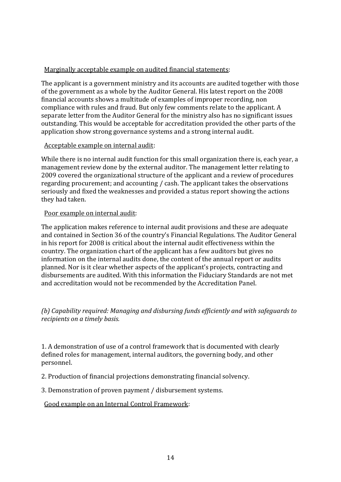## Marginally acceptable example on audited financial statements:

The applicant is a government ministry and its accounts are audited together with those of the government as a whole by the Auditor General. His latest report on the 2008 financial accounts shows a multitude of examples of improper recording, non compliance with rules and fraud. But only few comments relate to the applicant. A separate letter from the Auditor General for the ministry also has no significant issues outstanding. This would be acceptable for accreditation provided the other parts of the application show strong governance systems and a strong internal audit.

#### Acceptable example on internal audit:

While there is no internal audit function for this small organization there is, each year, a management review done by the external auditor. The management letter relating to 2009 covered the organizational structure of the applicant and a review of procedures regarding procurement; and accounting / cash. The applicant takes the observations seriously and fixed the weaknesses and provided a status report showing the actions they had taken.

## Poor example on internal audit:

The application makes reference to internal audit provisions and these are adequate and contained in Section 36 of the country's Financial Regulations. The Auditor General in his report for 2008 is critical about the internal audit effectiveness within the country. The organization chart of the applicant has a few auditors but gives no information on the internal audits done, the content of the annual report or audits planned. Nor is it clear whether aspects of the applicant's projects, contracting and disbursements are audited. With this information the Fiduciary Standards are not met and accreditation would not be recommended by the Accreditation Panel.

## *(b) Capability required: Managing and disbursing funds efficiently and with safeguards to recipients on a timely basis.*

1. A demonstration of use of a control framework that is documented with clearly defined roles for management, internal auditors, the governing body, and other personnel.

2. Production of financial projections demonstrating financial solvency.

3. Demonstration of proven payment / disbursement systems.

## Good example on an Internal Control Framework: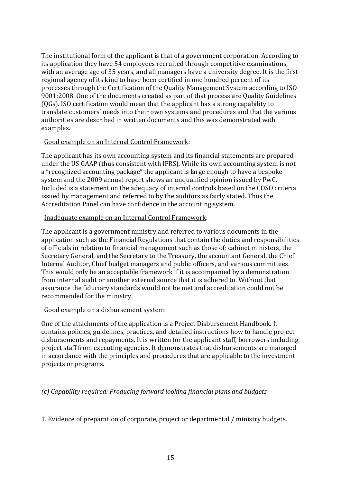The institutional form of the applicant is that of a government corporation. According to its application they have 54 employees recruited through competitive examinations, with an average age of 35 years, and all managers have a university degree. It is the first regional agency of its kind to have been certified in one hundred percent of its processes through the Certification of the Quality Management System according to ISO 9001:2008. One of the documents created as part of that process are Quality Guidelines (QGs). ISO certification would mean that the applicant has a strong capability to translate customers' needs into their own systems and procedures and that the various authorities are described in written documents and this was demonstrated with examples.

#### Good example on an Internal Control Framework:

The applicant has its own accounting system and its financial statements are prepared under the US GAAP (thus consistent with IFRS). While its own accounting system is not a "recognized accounting package" the applicant is large enough to have a bespoke system and the 2009 annual report shows an unqualified opinion issued by PwC. Included is a statement on the adequacy of internal controls based on the COSO criteria issued by management and referred to by the auditors as fairly stated. Thus the Accreditation Panel can have confidence in the accounting system.

## Inadequate example on an Internal Control Framework:

The applicant is a government ministry and referred to various documents in the application such as the Financial Regulations that contain the duties and responsibilities of officials in relation to financial management such as those of: cabinet ministers, the Secretary General, and the Secretary to the Treasury, the accountant General, the Chief Internal Auditor, Chief budget managers and public officers, and various committees. This would only be an acceptable framework if it is accompanied by a demonstration from internal audit or another external source that it is adhered to. Without that assurance the fiduciary standards would not be met and accreditation could not be recommended for the ministry.

#### Good example on a disbursement system:

One of the attachments of the application is a Project Disbursement Handbook. It contains policies, guidelines, practices, and detailed instructions how to handle project disbursements and repayments. It is written for the applicant staff, borrowers including project staff from executing agencies. It demonstrates that disbursements are managed in accordance with the principles and procedures that are applicable to the investment projects or programs.

## *(c) Capability required: Producing forward looking financial plans and budgets.*

1. Evidence of preparation of corporate, project or departmental / ministry budgets.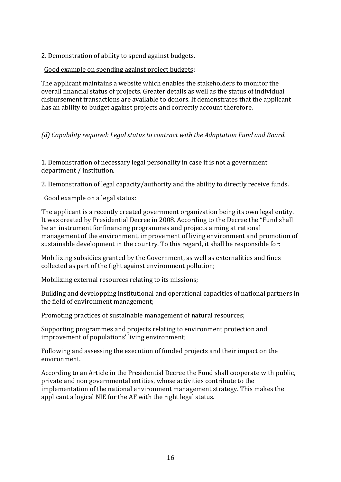2. Demonstration of ability to spend against budgets.

Good example on spending against project budgets:

The applicant maintains a website which enables the stakeholders to monitor the overall financial status of projects. Greater details as well as the status of individual disbursement transactions are available to donors. It demonstrates that the applicant has an ability to budget against projects and correctly account therefore.

## *(d) Capability required: Legal status to contract with the Adaptation Fund and Board.*

1. Demonstration of necessary legal personality in case it is not a government department / institution.

2. Demonstration of legal capacity/authority and the ability to directly receive funds.

Good example on a legal status:

The applicant is a recently created government organization being its own legal entity. It was created by Presidential Decree in 2008. According to the Decree the "Fund shall be an instrument for financing programmes and projects aiming at rational management of the environment, improvement of living environment and promotion of sustainable development in the country. To this regard, it shall be responsible for:

Mobilizing subsidies granted by the Government, as well as externalities and fines collected as part of the fight against environment pollution;

Mobilizing external resources relating to its missions;

Building and developping institutional and operational capacities of national partners in the field of environment management;

Promoting practices of sustainable management of natural resources;

Supporting programmes and projects relating to environment protection and improvement of populations' living environment;

Following and assessing the execution of funded projects and their impact on the environment.

According to an Article in the Presidential Decree the Fund shall cooperate with public, private and non governmental entities, whose activities contribute to the implementation of the national environment management strategy. This makes the applicant a logical NIE for the AF with the right legal status.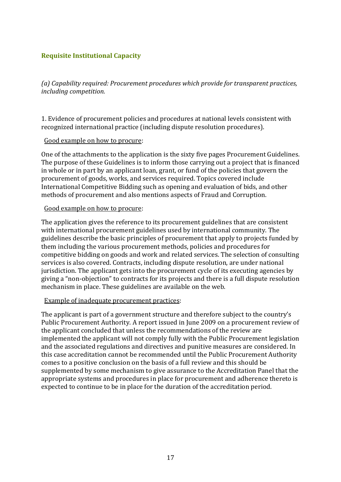## **Requisite Institutional Capacity**

*(a) Capability required: Procurement procedures which provide for transparent practices, including competition.*

1. Evidence of procurement policies and procedures at national levels consistent with recognized international practice (including dispute resolution procedures).

#### Good example on how to procure:

One of the attachments to the application is the sixty five pages Procurement Guidelines. The purpose of these Guidelines is to inform those carrying out a project that is financed in whole or in part by an applicant loan, grant, or fund of the policies that govern the procurement of goods, works, and services required. Topics covered include International Competitive Bidding such as opening and evaluation of bids, and other methods of procurement and also mentions aspects of Fraud and Corruption.

#### Good example on how to procure:

The application gives the reference to its procurement guidelines that are consistent with international procurement guidelines used by international community. The guidelines describe the basic principles of procurement that apply to projects funded by them including the various procurement methods, policies and procedures for competitive bidding on goods and work and related services. The selection of consulting services is also covered. Contracts, including dispute resolution, are under national jurisdiction. The applicant gets into the procurement cycle of its executing agencies by giving a "non-objection" to contracts for its projects and there is a full dispute resolution mechanism in place. These guidelines are available on the web.

#### Example of inadequate procurement practices:

The applicant is part of a government structure and therefore subject to the country's Public Procurement Authority. A report issued in June 2009 on a procurement review of the applicant concluded that unless the recommendations of the review are implemented the applicant will not comply fully with the Public Procurement legislation and the associated regulations and directives and punitive measures are considered. In this case accreditation cannot be recommended until the Public Procurement Authority comes to a positive conclusion on the basis of a full review and this should be supplemented by some mechanism to give assurance to the Accreditation Panel that the appropriate systems and procedures in place for procurement and adherence thereto is expected to continue to be in place for the duration of the accreditation period.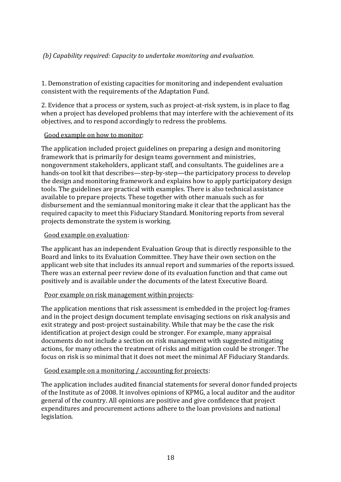## *(b) Capability required: Capacity to undertake monitoring and evaluation.*

1. Demonstration of existing capacities for monitoring and independent evaluation consistent with the requirements of the Adaptation Fund.

2. Evidence that a process or system, such as project-at-risk system, is in place to flag when a project has developed problems that may interfere with the achievement of its objectives, and to respond accordingly to redress the problems.

#### Good example on how to monitor:

The application included project guidelines on preparing a design and monitoring framework that is primarily for design teams government and ministries, nongovernment stakeholders, applicant staff, and consultants. The guidelines are a hands-on tool kit that describes—step-by-step—the participatory process to develop the design and monitoring framework and explains how to apply participatory design tools. The guidelines are practical with examples. There is also technical assistance available to prepare projects. These together with other manuals such as for disbursement and the semiannual monitoring make it clear that the applicant has the required capacity to meet this Fiduciary Standard. Monitoring reports from several projects demonstrate the system is working.

## Good example on evaluation:

The applicant has an independent Evaluation Group that is directly responsible to the Board and links to its Evaluation Committee. They have their own section on the applicant web site that includes its annual report and summaries of the reports issued. There was an external peer review done of its evaluation function and that came out positively and is available under the documents of the latest Executive Board.

## Poor example on risk management within projects:

The application mentions that risk assessment is embedded in the project log-frames and in the project design document template envisaging sections on risk analysis and exit strategy and post-project sustainability. While that may be the case the risk identification at project design could be stronger. For example, many appraisal documents do not include a section on risk management with suggested mitigating actions, for many others the treatment of risks and mitigation could be stronger. The focus on risk is so minimal that it does not meet the minimal AF Fiduciary Standards.

## Good example on a monitoring / accounting for projects:

The application includes audited financial statements for several donor funded projects of the Institute as of 2008. It involves opinions of KPMG, a local auditor and the auditor general of the country. All opinions are positive and give confidence that project expenditures and procurement actions adhere to the loan provisions and national legislation.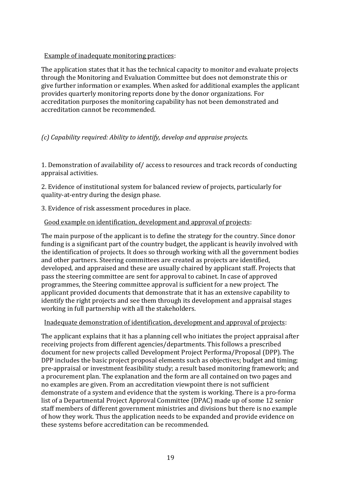## Example of inadequate monitoring practices:

The application states that it has the technical capacity to monitor and evaluate projects through the Monitoring and Evaluation Committee but does not demonstrate this or give further information or examples. When asked for additional examples the applicant provides quarterly monitoring reports done by the donor organizations. For accreditation purposes the monitoring capability has not been demonstrated and accreditation cannot be recommended.

## *(c) Capability required: Ability to identify, develop and appraise projects.*

1. Demonstration of availability of/ access to resources and track records of conducting appraisal activities.

2. Evidence of institutional system for balanced review of projects, particularly for quality-at-entry during the design phase.

3. Evidence of risk assessment procedures in place.

## Good example on identification, development and approval of projects:

The main purpose of the applicant is to define the strategy for the country. Since donor funding is a significant part of the country budget, the applicant is heavily involved with the identification of projects. It does so through working with all the government bodies and other partners. Steering committees are created as projects are identified, developed, and appraised and these are usually chaired by applicant staff. Projects that pass the steering committee are sent for approval to cabinet. In case of approved programmes, the Steering committee approval is sufficient for a new project. The applicant provided documents that demonstrate that it has an extensive capability to identify the right projects and see them through its development and appraisal stages working in full partnership with all the stakeholders.

## Inadequate demonstration of identification, development and approval of projects:

The applicant explains that it has a planning cell who initiates the project appraisal after receiving projects from different agencies/departments. This follows a prescribed document for new projects called Development Project Performa/Proposal (DPP). The DPP includes the basic project proposal elements such as objectives; budget and timing; pre-appraisal or investment feasibility study; a result based monitoring framework; and a procurement plan. The explanation and the form are all contained on two pages and no examples are given. From an accreditation viewpoint there is not sufficient demonstrate of a system and evidence that the system is working. There is a pro-forma list of a Departmental Project Approval Committee (DPAC) made up of some 12 senior staff members of different government ministries and divisions but there is no example of how they work. Thus the application needs to be expanded and provide evidence on these systems before accreditation can be recommended.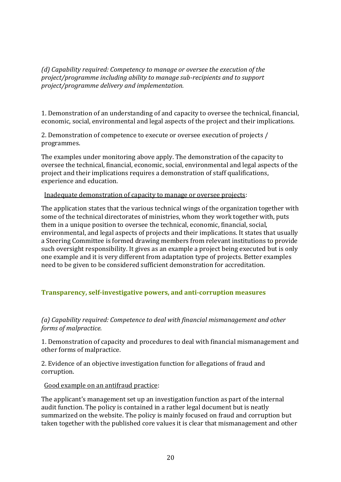*(d) Capability required: Competency to manage or oversee the execution of the project/programme including ability to manage sub-recipients and to support project/programme delivery and implementation.*

1. Demonstration of an understanding of and capacity to oversee the technical, financial, economic, social, environmental and legal aspects of the project and their implications.

2. Demonstration of competence to execute or oversee execution of projects / programmes.

The examples under monitoring above apply. The demonstration of the capacity to oversee the technical, financial, economic, social, environmental and legal aspects of the project and their implications requires a demonstration of staff qualifications, experience and education.

Inadequate demonstration of capacity to manage or oversee projects:

The application states that the various technical wings of the organization together with some of the technical directorates of ministries, whom they work together with, puts them in a unique position to oversee the technical, economic, financial, social, environmental, and legal aspects of projects and their implications. It states that usually a Steering Committee is formed drawing members from relevant institutions to provide such oversight responsibility. It gives as an example a project being executed but is only one example and it is very different from adaptation type of projects. Better examples need to be given to be considered sufficient demonstration for accreditation.

## **Transparency, self-investigative powers, and anti-corruption measures**

*(a) Capability required: Competence to deal with financial mismanagement and other forms of malpractice.*

1. Demonstration of capacity and procedures to deal with financial mismanagement and other forms of malpractice.

2. Evidence of an objective investigation function for allegations of fraud and corruption.

Good example on an antifraud practice:

The applicant's management set up an investigation function as part of the internal audit function. The policy is contained in a rather legal document but is neatly summarized on the website. The policy is mainly focused on fraud and corruption but taken together with the published core values it is clear that mismanagement and other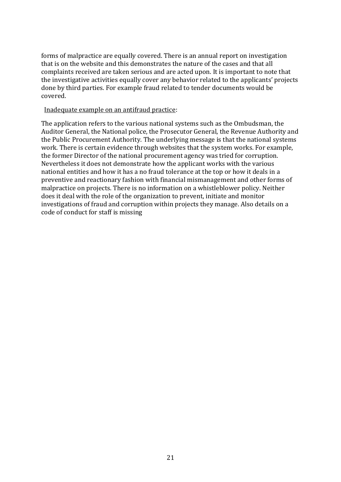forms of malpractice are equally covered. There is an annual report on investigation that is on the website and this demonstrates the nature of the cases and that all complaints received are taken serious and are acted upon. It is important to note that the investigative activities equally cover any behavior related to the applicants' projects done by third parties. For example fraud related to tender documents would be covered.

#### Inadequate example on an antifraud practice:

The application refers to the various national systems such as the Ombudsman, the Auditor General, the National police, the Prosecutor General, the Revenue Authority and the Public Procurement Authority. The underlying message is that the national systems work. There is certain evidence through websites that the system works. For example, the former Director of the national procurement agency was tried for corruption. Nevertheless it does not demonstrate how the applicant works with the various national entities and how it has a no fraud tolerance at the top or how it deals in a preventive and reactionary fashion with financial mismanagement and other forms of malpractice on projects. There is no information on a whistleblower policy. Neither does it deal with the role of the organization to prevent, initiate and monitor investigations of fraud and corruption within projects they manage. Also details on a code of conduct for staff is missing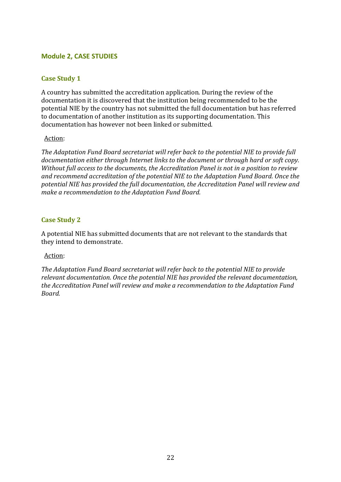## **Module 2, CASE STUDIES**

## **Case Study 1**

A country has submitted the accreditation application. During the review of the documentation it is discovered that the institution being recommended to be the potential NIE by the country has not submitted the full documentation but has referred to documentation of another institution as its supporting documentation. This documentation has however not been linked or submitted.

#### Action:

*The Adaptation Fund Board secretariat will refer back to the potential NIE to provide full documentation either through Internet links to the document or through hard or soft copy. Without full access to the documents, the Accreditation Panel is not in a position to review and recommend accreditation of the potential NIE to the Adaptation Fund Board. Once the potential NIE has provided the full documentation, the Accreditation Panel will review and make a recommendation to the Adaptation Fund Board.*

#### **Case Study 2**

A potential NIE has submitted documents that are not relevant to the standards that they intend to demonstrate.

#### Action:

*The Adaptation Fund Board secretariat will refer back to the potential NIE to provide relevant documentation. Once the potential NIE has provided the relevant documentation, the Accreditation Panel will review and make a recommendation to the Adaptation Fund Board.*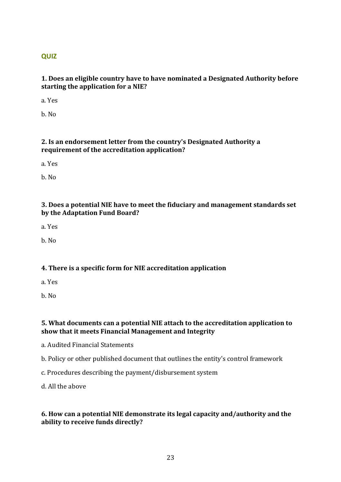## **QUIZ**

## **1. Does an eligible country have to have nominated a Designated Authority before starting the application for a NIE?**

a. Yes

b. No

## **2. Is an endorsement letter from the country's Designated Authority a requirement of the accreditation application?**

a. Yes

b. No

## **3. Does a potential NIE have to meet the fiduciary and management standards set by the Adaptation Fund Board?**

a. Yes

b. No

## **4. There is a specific form for NIE accreditation application**

a. Yes

b. No

## **5. What documents can a potential NIE attach to the accreditation application to show that it meets Financial Management and Integrity**

a. Audited Financial Statements

- b. Policy or other published document that outlines the entity's control framework
- c. Procedures describing the payment/disbursement system

d. All the above

## **6. How can a potential NIE demonstrate its legal capacity and/authority and the ability to receive funds directly?**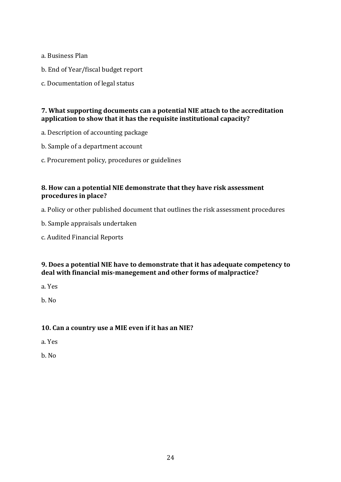- a. Business Plan
- b. End of Year/fiscal budget report
- c. Documentation of legal status

## **7. What supporting documents can a potential NIE attach to the accreditation application to show that it has the requisite institutional capacity?**

- a. Description of accounting package
- b. Sample of a department account
- c. Procurement policy, procedures or guidelines

## **8. How can a potential NIE demonstrate that they have risk assessment procedures in place?**

- a. Policy or other published document that outlines the risk assessment procedures
- b. Sample appraisals undertaken
- c. Audited Financial Reports

## **9. Does a potential NIE have to demonstrate that it has adequate competency to deal with financial mis-manegement and other forms of malpractice?**

a. Yes

b. No

## **10. Can a country use a MIE even if it has an NIE?**

- a. Yes
- b. No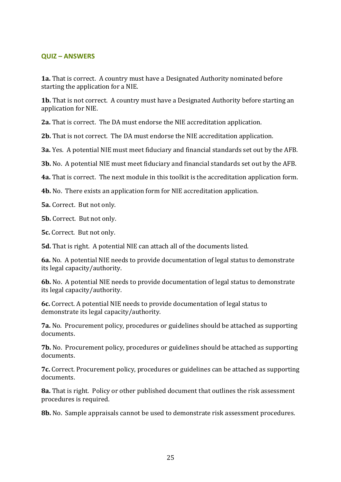#### **QUIZ – ANSWERS**

**1a.** That is correct. A country must have a Designated Authority nominated before starting the application for a NIE.

**1b.** That is not correct. A country must have a Designated Authority before starting an application for NIE.

**2a.** That is correct. The DA must endorse the NIE accreditation application.

**2b.** That is not correct. The DA must endorse the NIE accreditation application.

**3a.** Yes. A potential NIE must meet fiduciary and financial standards set out by the AFB.

**3b.** No. A potential NIE must meet fiduciary and financial standards set out by the AFB.

**4a.** That is correct. The next module in this toolkit is the accreditation application form.

**4b.** No. There exists an application form for NIE accreditation application.

**5a.** Correct. But not only.

**5b.** Correct. But not only.

**5c.** Correct. But not only.

**5d.** That is right. A potential NIE can attach all of the documents listed.

**6a.** No. A potential NIE needs to provide documentation of legal status to demonstrate its legal capacity/authority.

**6b.** No. A potential NIE needs to provide documentation of legal status to demonstrate its legal capacity/authority.

**6c.** Correct. A potential NIE needs to provide documentation of legal status to demonstrate its legal capacity/authority.

**7a.** No. Procurement policy, procedures or guidelines should be attached as supporting documents.

**7b.** No. Procurement policy, procedures or guidelines should be attached as supporting documents.

**7c.** Correct. Procurement policy, procedures or guidelines can be attached as supporting documents.

**8a.** That is right. Policy or other published document that outlines the risk assessment procedures is required.

**8b.** No. Sample appraisals cannot be used to demonstrate risk assessment procedures.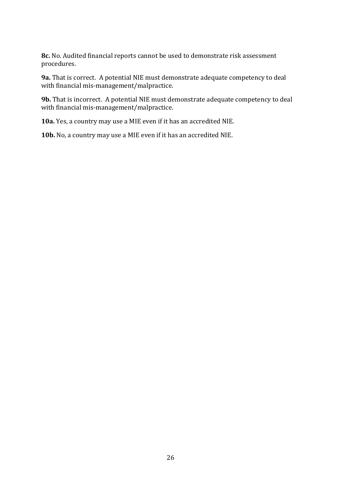**8c.** No. Audited financial reports cannot be used to demonstrate risk assessment procedures.

**9a.** That is correct. A potential NIE must demonstrate adequate competency to deal with financial mis-management/malpractice.

**9b.** That is incorrect. A potential NIE must demonstrate adequate competency to deal with financial mis-management/malpractice.

**10a.** Yes, a country may use a MIE even if it has an accredited NIE.

**10b.** No, a country may use a MIE even if it has an accredited NIE.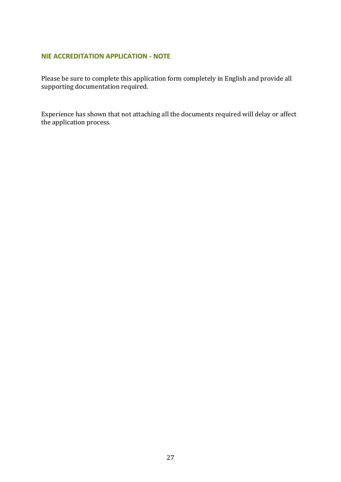## **NIE ACCREDITATION APPLICATION - NOTE**

Please be sure to complete this application form completely in English and provide all supporting documentation required.

Experience has shown that not attaching all the documents required will delay or affect the application process.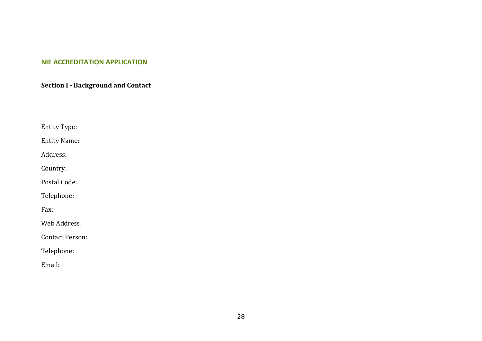#### **NIE ACCREDITATION APPLICATION**

**Section I - Background and Contact**

Entity Type:

Entity Name:

Address:

Country:

Postal Code:

Telephone:

Fax:

Web Address:

Contact Person:

Telephone:

Email: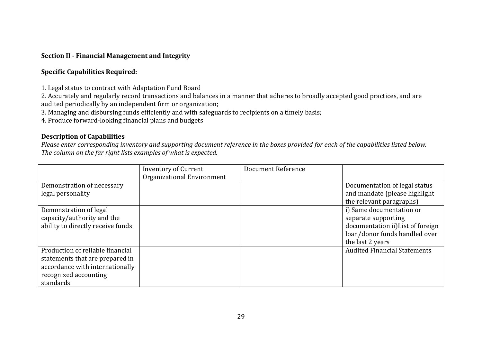## **Section II - Financial Management and Integrity**

## **Specific Capabilities Required:**

1. Legal status to contract with Adaptation Fund Board

2. Accurately and regularly record transactions and balances in a manner that adheres to broadly accepted good practices, and are audited periodically by an independent firm or organization;

3. Managing and disbursing funds efficiently and with safeguards to recipients on a timely basis;

4. Produce forward-looking financial plans and budgets

## **Description of Capabilities**

*Please enter corresponding inventory and supporting document reference in the boxes provided for each of the capabilities listed below. The column on the far right lists examples of what is expected.*

|                                                                                                                                              | <b>Inventory of Current</b><br>Organizational Environment | Document Reference |                                                                                                                                           |
|----------------------------------------------------------------------------------------------------------------------------------------------|-----------------------------------------------------------|--------------------|-------------------------------------------------------------------------------------------------------------------------------------------|
| Demonstration of necessary<br>legal personality                                                                                              |                                                           |                    | Documentation of legal status<br>and mandate (please highlight<br>the relevant paragraphs)                                                |
| Demonstration of legal<br>capacity/authority and the<br>ability to directly receive funds                                                    |                                                           |                    | i) Same documentation or<br>separate supporting<br>documentation ii) List of foreign<br>loan/donor funds handled over<br>the last 2 years |
| Production of reliable financial<br>statements that are prepared in<br>accordance with internationally<br>recognized accounting<br>standards |                                                           |                    | <b>Audited Financial Statements</b>                                                                                                       |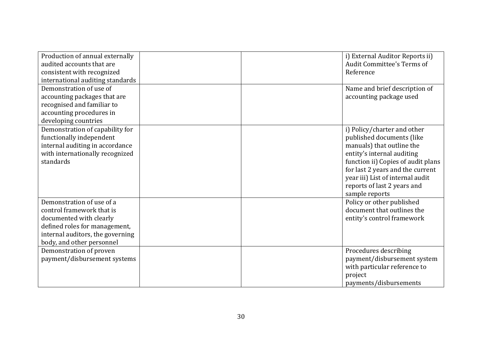| Production of annual externally<br>audited accounts that are<br>consistent with recognized<br>international auditing standards<br>Demonstration of use of                           |  | i) External Auditor Reports ii)<br><b>Audit Committee's Terms of</b><br>Reference<br>Name and brief description of                                                                                                                                                                 |
|-------------------------------------------------------------------------------------------------------------------------------------------------------------------------------------|--|------------------------------------------------------------------------------------------------------------------------------------------------------------------------------------------------------------------------------------------------------------------------------------|
| accounting packages that are<br>recognised and familiar to<br>accounting procedures in<br>developing countries                                                                      |  | accounting package used                                                                                                                                                                                                                                                            |
| Demonstration of capability for<br>functionally independent<br>internal auditing in accordance<br>with internationally recognized<br>standards                                      |  | i) Policy/charter and other<br>published documents (like<br>manuals) that outline the<br>entity's internal auditing<br>function ii) Copies of audit plans<br>for last 2 years and the current<br>year iii) List of internal audit<br>reports of last 2 years and<br>sample reports |
| Demonstration of use of a<br>control framework that is<br>documented with clearly<br>defined roles for management,<br>internal auditors, the governing<br>body, and other personnel |  | Policy or other published<br>document that outlines the<br>entity's control framework                                                                                                                                                                                              |
| Demonstration of proven<br>payment/disbursement systems                                                                                                                             |  | Procedures describing<br>payment/disbursement system<br>with particular reference to<br>project<br>payments/disbursements                                                                                                                                                          |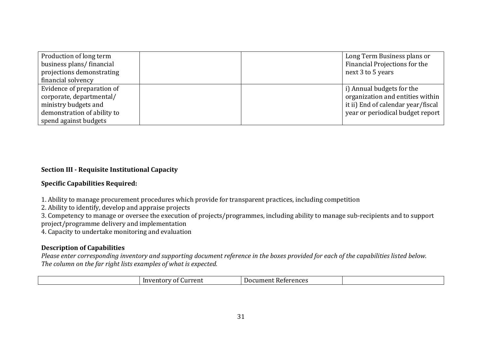| Production of long term<br>business plans/financial<br>projections demonstrating<br>financial solvency |  | Long Term Business plans or<br>Financial Projections for the<br>next 3 to 5 years |
|--------------------------------------------------------------------------------------------------------|--|-----------------------------------------------------------------------------------|
| Evidence of preparation of                                                                             |  | i) Annual budgets for the                                                         |
| corporate, departmental/                                                                               |  | organization and entities within                                                  |
| ministry budgets and                                                                                   |  | it ii) End of calendar year/fiscal                                                |
| demonstration of ability to                                                                            |  | year or periodical budget report                                                  |
| spend against budgets                                                                                  |  |                                                                                   |

## **Section III - Requisite Institutional Capacity**

#### **Specific Capabilities Required:**

1. Ability to manage procurement procedures which provide for transparent practices, including competition

2. Ability to identify, develop and appraise projects

3. Competency to manage or oversee the execution of projects/programmes, including ability to manage sub-recipients and to support project/programme delivery and implementation

4. Capacity to undertake monitoring and evaluation

## **Description of Capabilities**

*Please enter corresponding inventory and supporting document reference in the boxes provided for each of the capabilities listed below. The column on the far right lists examples of what is expected.*

| urrent<br>.or<br>'ΩT<br>7 A Y | References<br>Document |  |
|-------------------------------|------------------------|--|
|-------------------------------|------------------------|--|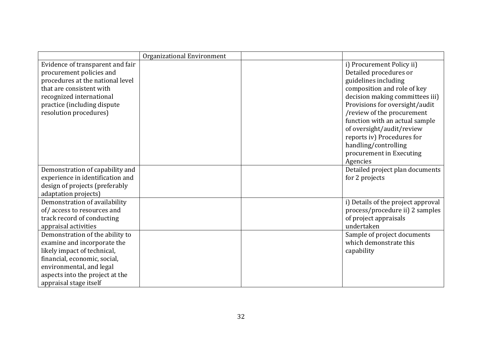|                                                                                                                                                                                                                        | Organizational Environment |                                                                                                                                                                                                                                                                                                                                                                            |
|------------------------------------------------------------------------------------------------------------------------------------------------------------------------------------------------------------------------|----------------------------|----------------------------------------------------------------------------------------------------------------------------------------------------------------------------------------------------------------------------------------------------------------------------------------------------------------------------------------------------------------------------|
| Evidence of transparent and fair<br>procurement policies and<br>procedures at the national level<br>that are consistent with<br>recognized international<br>practice (including dispute<br>resolution procedures)      |                            | i) Procurement Policy ii)<br>Detailed procedures or<br>guidelines including<br>composition and role of key<br>decision making committees iii)<br>Provisions for oversight/audit<br>/review of the procurement<br>function with an actual sample<br>of oversight/audit/review<br>reports iv) Procedures for<br>handling/controlling<br>procurement in Executing<br>Agencies |
| Demonstration of capability and<br>experience in identification and<br>design of projects (preferably<br>adaptation projects)                                                                                          |                            | Detailed project plan documents<br>for 2 projects                                                                                                                                                                                                                                                                                                                          |
| Demonstration of availability<br>of/access to resources and<br>track record of conducting<br>appraisal activities                                                                                                      |                            | i) Details of the project approval<br>process/procedure ii) 2 samples<br>of project appraisals<br>undertaken                                                                                                                                                                                                                                                               |
| Demonstration of the ability to<br>examine and incorporate the<br>likely impact of technical,<br>financial, economic, social,<br>environmental, and legal<br>aspects into the project at the<br>appraisal stage itself |                            | Sample of project documents<br>which demonstrate this<br>capability                                                                                                                                                                                                                                                                                                        |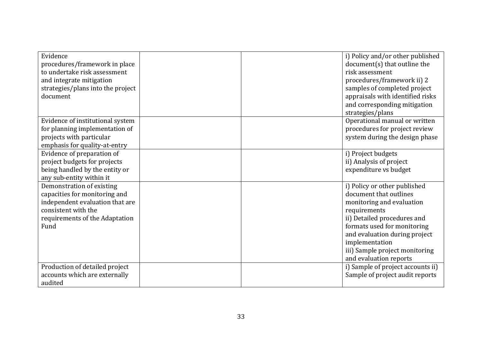| Evidence<br>procedures/framework in place<br>to undertake risk assessment<br>and integrate mitigation<br>strategies/plans into the project<br>document         |  | i) Policy and/or other published<br>document(s) that outline the<br>risk assessment<br>procedures/framework ii) 2<br>samples of completed project<br>appraisals with identified risks<br>and corresponding mitigation<br>strategies/plans                                        |
|----------------------------------------------------------------------------------------------------------------------------------------------------------------|--|----------------------------------------------------------------------------------------------------------------------------------------------------------------------------------------------------------------------------------------------------------------------------------|
| Evidence of institutional system<br>for planning implementation of<br>projects with particular<br>emphasis for quality-at-entry                                |  | Operational manual or written<br>procedures for project review<br>system during the design phase                                                                                                                                                                                 |
| Evidence of preparation of<br>project budgets for projects<br>being handled by the entity or<br>any sub-entity within it                                       |  | i) Project budgets<br>ii) Analysis of project<br>expenditure vs budget                                                                                                                                                                                                           |
| Demonstration of existing<br>capacities for monitoring and<br>independent evaluation that are<br>consistent with the<br>requirements of the Adaptation<br>Fund |  | i) Policy or other published<br>document that outlines<br>monitoring and evaluation<br>requirements<br>ii) Detailed procedures and<br>formats used for monitoring<br>and evaluation during project<br>implementation<br>iii) Sample project monitoring<br>and evaluation reports |
| Production of detailed project<br>accounts which are externally<br>audited                                                                                     |  | i) Sample of project accounts ii)<br>Sample of project audit reports                                                                                                                                                                                                             |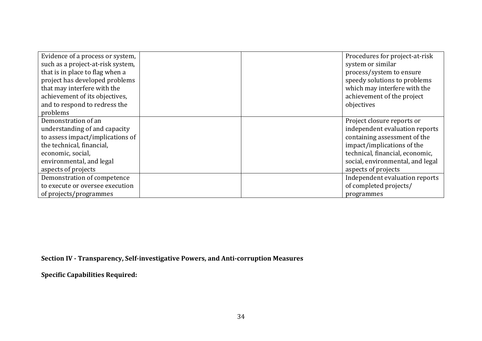| Evidence of a process or system,<br>such as a project-at-risk system,<br>that is in place to flag when a<br>project has developed problems<br>that may interfere with the<br>achievement of its objectives,<br>and to respond to redress the<br>problems |  | Procedures for project-at-risk<br>system or similar<br>process/system to ensure<br>speedy solutions to problems<br>which may interfere with the<br>achievement of the project<br>objectives                              |
|----------------------------------------------------------------------------------------------------------------------------------------------------------------------------------------------------------------------------------------------------------|--|--------------------------------------------------------------------------------------------------------------------------------------------------------------------------------------------------------------------------|
| Demonstration of an<br>understanding of and capacity<br>to assess impact/implications of<br>the technical, financial,<br>economic, social,<br>environmental, and legal<br>aspects of projects                                                            |  | Project closure reports or<br>independent evaluation reports<br>containing assessment of the<br>impact/implications of the<br>technical, financial, economic,<br>social, environmental, and legal<br>aspects of projects |
| Demonstration of competence<br>to execute or oversee execution<br>of projects/programmes                                                                                                                                                                 |  | Independent evaluation reports<br>of completed projects/<br>programmes                                                                                                                                                   |

**Section IV - Transparency, Self-investigative Powers, and Anti-corruption Measures**

**Specific Capabilities Required:**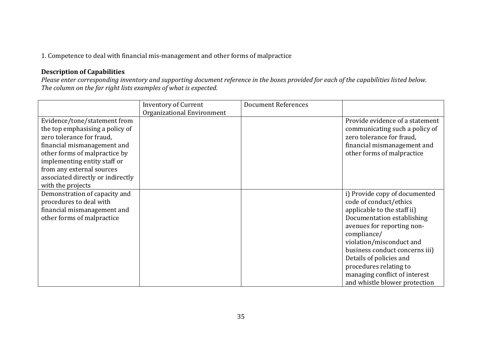1. Competence to deal with financial mis-management and other forms of malpractice

## **Description of Capabilities**

*Please enter corresponding inventory and supporting document reference in the boxes provided for each of the capabilities listed below. The column on the far right lists examples of what is expected.*

|                                                                                                                                                                                                                                                                                     | <b>Inventory of Current</b> | <b>Document References</b> |                                                                                                                                                                                                                                                                                                                                                        |
|-------------------------------------------------------------------------------------------------------------------------------------------------------------------------------------------------------------------------------------------------------------------------------------|-----------------------------|----------------------------|--------------------------------------------------------------------------------------------------------------------------------------------------------------------------------------------------------------------------------------------------------------------------------------------------------------------------------------------------------|
|                                                                                                                                                                                                                                                                                     | Organizational Environment  |                            |                                                                                                                                                                                                                                                                                                                                                        |
| Evidence/tone/statement from<br>the top emphasising a policy of<br>zero tolerance for fraud,<br>financial mismanagement and<br>other forms of malpractice by<br>implementing entity staff or<br>from any external sources<br>associated directly or indirectly<br>with the projects |                             |                            | Provide evidence of a statement<br>communicating such a policy of<br>zero tolerance for fraud,<br>financial mismanagement and<br>other forms of malpractice                                                                                                                                                                                            |
| Demonstration of capacity and<br>procedures to deal with<br>financial mismanagement and<br>other forms of malpractice                                                                                                                                                               |                             |                            | i) Provide copy of documented<br>code of conduct/ethics<br>applicable to the staff ii)<br>Documentation establishing<br>avenues for reporting non-<br>compliance/<br>violation/misconduct and<br>business conduct concerns iii)<br>Details of policies and<br>procedures relating to<br>managing conflict of interest<br>and whistle blower protection |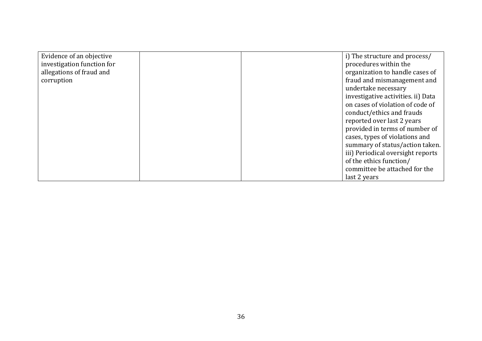| Evidence of an objective   |  | i) The structure and process/      |
|----------------------------|--|------------------------------------|
| investigation function for |  | procedures within the              |
| allegations of fraud and   |  | organization to handle cases of    |
| corruption                 |  | fraud and mismanagement and        |
|                            |  | undertake necessary                |
|                            |  | investigative activities. ii) Data |
|                            |  | on cases of violation of code of   |
|                            |  | conduct/ethics and frauds          |
|                            |  | reported over last 2 years         |
|                            |  | provided in terms of number of     |
|                            |  | cases, types of violations and     |
|                            |  | summary of status/action taken.    |
|                            |  | iii) Periodical oversight reports  |
|                            |  | of the ethics function/            |
|                            |  | committee be attached for the      |
|                            |  | last 2 years                       |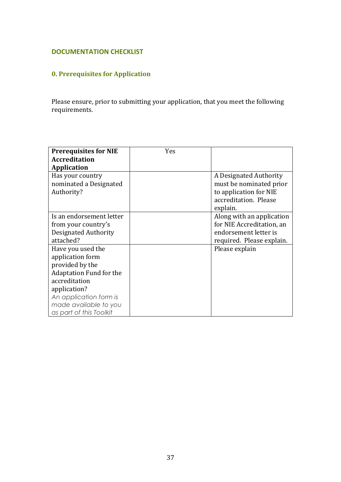## **DOCUMENTATION CHECKLIST**

# **0. Prerequisites for Application**

Please ensure, prior to submitting your application, that you meet the following requirements.

| <b>Prerequisites for NIE</b>   | Yes |                           |
|--------------------------------|-----|---------------------------|
| <b>Accreditation</b>           |     |                           |
| <b>Application</b>             |     |                           |
| Has your country               |     | A Designated Authority    |
| nominated a Designated         |     | must be nominated prior   |
| Authority?                     |     | to application for NIE    |
|                                |     | accreditation. Please     |
|                                |     | explain.                  |
| Is an endorsement letter       |     | Along with an application |
| from your country's            |     | for NIE Accreditation, an |
| Designated Authority           |     | endorsement letter is     |
| attached?                      |     | required. Please explain. |
| Have you used the              |     | Please explain            |
| application form               |     |                           |
| provided by the                |     |                           |
| <b>Adaptation Fund for the</b> |     |                           |
| accreditation                  |     |                           |
| application?                   |     |                           |
| An application form is         |     |                           |
| made available to you          |     |                           |
| as part of this Toolkit        |     |                           |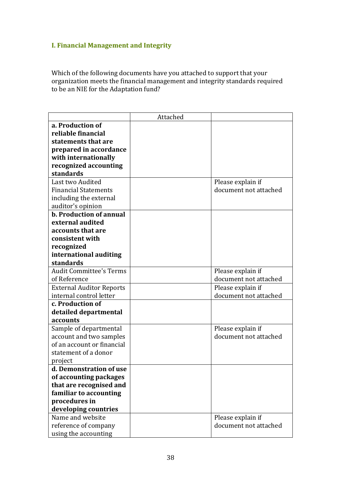# **I. Financial Management and Integrity**

Which of the following documents have you attached to support that your organization meets the financial management and integrity standards required to be an NIE for the Adaptation fund?

|                                 | Attached |                       |
|---------------------------------|----------|-----------------------|
| a. Production of                |          |                       |
| reliable financial              |          |                       |
| statements that are             |          |                       |
| prepared in accordance          |          |                       |
| with internationally            |          |                       |
| recognized accounting           |          |                       |
| standards                       |          |                       |
| Last two Audited                |          | Please explain if     |
| <b>Financial Statements</b>     |          | document not attached |
| including the external          |          |                       |
| auditor's opinion               |          |                       |
| <b>b. Production of annual</b>  |          |                       |
| external audited                |          |                       |
| accounts that are               |          |                       |
| consistent with                 |          |                       |
| recognized                      |          |                       |
| international auditing          |          |                       |
| standards                       |          |                       |
| <b>Audit Committee's Terms</b>  |          | Please explain if     |
| of Reference                    |          | document not attached |
| <b>External Auditor Reports</b> |          | Please explain if     |
| internal control letter         |          | document not attached |
| c. Production of                |          |                       |
| detailed departmental           |          |                       |
| accounts                        |          |                       |
| Sample of departmental          |          | Please explain if     |
| account and two samples         |          | document not attached |
| of an account or financial      |          |                       |
| statement of a donor            |          |                       |
| project                         |          |                       |
| d. Demonstration of use         |          |                       |
| of accounting packages          |          |                       |
| that are recognised and         |          |                       |
| familiar to accounting          |          |                       |
| procedures in                   |          |                       |
| developing countries            |          |                       |
| Name and website                |          | Please explain if     |
| reference of company            |          | document not attached |
| using the accounting            |          |                       |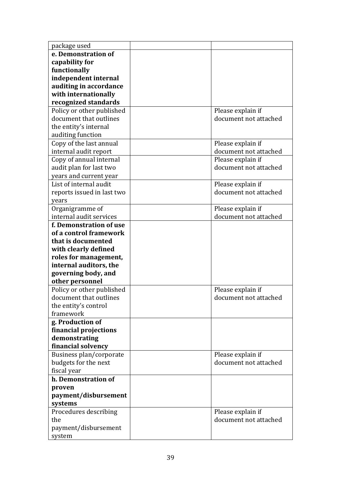| package used                 |                                            |
|------------------------------|--------------------------------------------|
| e. Demonstration of          |                                            |
| capability for               |                                            |
| functionally                 |                                            |
| independent internal         |                                            |
| auditing in accordance       |                                            |
| with internationally         |                                            |
| recognized standards         |                                            |
| Policy or other published    | Please explain if                          |
| document that outlines       | document not attached                      |
| the entity's internal        |                                            |
| auditing function            |                                            |
| Copy of the last annual      | Please explain if                          |
| internal audit report        | document not attached                      |
| Copy of annual internal      | Please explain if                          |
| audit plan for last two      | document not attached                      |
| years and current year       |                                            |
| List of internal audit       | Please explain if                          |
| reports issued in last two   | document not attached                      |
| years                        |                                            |
| Organigramme of              | Please explain if                          |
| internal audit services      | document not attached                      |
| f. Demonstration of use      |                                            |
| of a control framework       |                                            |
| that is documented           |                                            |
| with clearly defined         |                                            |
| roles for management,        |                                            |
| internal auditors, the       |                                            |
| governing body, and          |                                            |
| other personnel              |                                            |
| Policy or other published    | Please explain if                          |
| document that outlines       | document not attached                      |
| the entity's control         |                                            |
| framework                    |                                            |
| g. Production of             |                                            |
| financial projections        |                                            |
| demonstrating                |                                            |
| financial solvency           |                                            |
| Business plan/corporate      | Please explain if                          |
| budgets for the next         | document not attached                      |
| fiscal year                  |                                            |
| h. Demonstration of          |                                            |
| proven                       |                                            |
| payment/disbursement         |                                            |
| systems                      |                                            |
| Procedures describing<br>the | Please explain if<br>document not attached |
|                              |                                            |
| payment/disbursement         |                                            |
| system                       |                                            |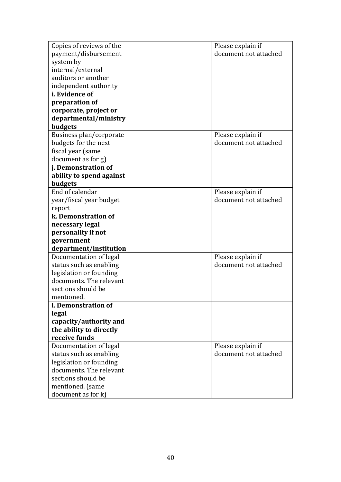| Copies of reviews of the | Please explain if     |
|--------------------------|-----------------------|
| payment/disbursement     | document not attached |
| system by                |                       |
| internal/external        |                       |
| auditors or another      |                       |
| independent authority    |                       |
| <i>i.</i> Evidence of    |                       |
| preparation of           |                       |
| corporate, project or    |                       |
| departmental/ministry    |                       |
| budgets                  |                       |
| Business plan/corporate  | Please explain if     |
| budgets for the next     | document not attached |
| fiscal year (same        |                       |
| document as for g)       |                       |
| j. Demonstration of      |                       |
| ability to spend against |                       |
| budgets                  |                       |
| End of calendar          | Please explain if     |
| year/fiscal year budget  | document not attached |
| report                   |                       |
| k. Demonstration of      |                       |
| necessary legal          |                       |
| personality if not       |                       |
| government               |                       |
| department/institution   |                       |
| Documentation of legal   | Please explain if     |
| status such as enabling  | document not attached |
| legislation or founding  |                       |
| documents. The relevant  |                       |
| sections should be       |                       |
| mentioned.               |                       |
| l. Demonstration of      |                       |
| legal                    |                       |
| capacity/authority and   |                       |
| the ability to directly  |                       |
| receive funds            |                       |
| Documentation of legal   | Please explain if     |
| status such as enabling  | document not attached |
| legislation or founding  |                       |
| documents. The relevant  |                       |
| sections should be       |                       |
| mentioned. (same         |                       |
|                          |                       |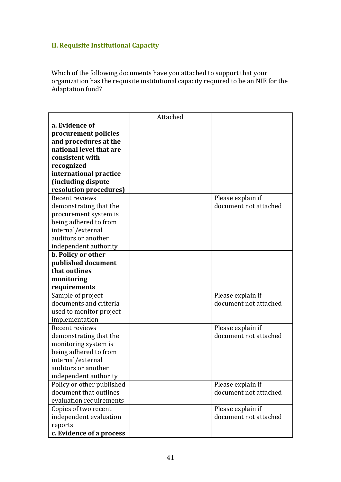# **II. Requisite Institutional Capacity**

Which of the following documents have you attached to support that your organization has the requisite institutional capacity required to be an NIE for the Adaptation fund?

|                           | Attached |                       |
|---------------------------|----------|-----------------------|
| a. Evidence of            |          |                       |
| procurement policies      |          |                       |
| and procedures at the     |          |                       |
| national level that are   |          |                       |
| consistent with           |          |                       |
| recognized                |          |                       |
| international practice    |          |                       |
| (including dispute        |          |                       |
| resolution procedures)    |          |                       |
| Recent reviews            |          | Please explain if     |
| demonstrating that the    |          | document not attached |
| procurement system is     |          |                       |
| being adhered to from     |          |                       |
| internal/external         |          |                       |
| auditors or another       |          |                       |
| independent authority     |          |                       |
| b. Policy or other        |          |                       |
| published document        |          |                       |
| that outlines             |          |                       |
| monitoring                |          |                       |
| requirements              |          |                       |
| Sample of project         |          | Please explain if     |
| documents and criteria    |          | document not attached |
| used to monitor project   |          |                       |
| implementation            |          |                       |
| Recent reviews            |          | Please explain if     |
| demonstrating that the    |          | document not attached |
| monitoring system is      |          |                       |
| being adhered to from     |          |                       |
| internal/external         |          |                       |
| auditors or another       |          |                       |
| independent authority     |          |                       |
| Policy or other published |          | Please explain if     |
| document that outlines    |          | document not attached |
| evaluation requirements   |          |                       |
| Copies of two recent      |          | Please explain if     |
| independent evaluation    |          | document not attached |
| reports                   |          |                       |
| c. Evidence of a process  |          |                       |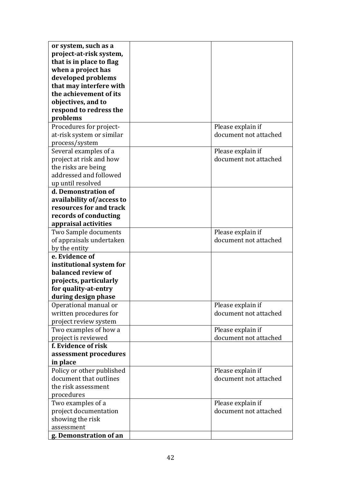| or system, such as a<br>project-at-risk system,<br>that is in place to flag<br>when a project has |                                            |
|---------------------------------------------------------------------------------------------------|--------------------------------------------|
| developed problems<br>that may interfere with                                                     |                                            |
| the achievement of its<br>objectives, and to                                                      |                                            |
| respond to redress the                                                                            |                                            |
| problems                                                                                          |                                            |
| Procedures for project-<br>at-risk system or similar<br>process/system                            | Please explain if<br>document not attached |
| Several examples of a                                                                             | Please explain if                          |
| project at risk and how<br>the risks are being                                                    | document not attached                      |
| addressed and followed<br>up until resolved                                                       |                                            |
| d. Demonstration of                                                                               |                                            |
| availability of/access to                                                                         |                                            |
| resources for and track                                                                           |                                            |
| records of conducting                                                                             |                                            |
| appraisal activities                                                                              |                                            |
| Two Sample documents                                                                              | Please explain if                          |
| of appraisals undertaken                                                                          | document not attached                      |
| by the entity                                                                                     |                                            |
| e. Evidence of<br>institutional system for                                                        |                                            |
| balanced review of                                                                                |                                            |
| projects, particularly                                                                            |                                            |
| for quality-at-entry                                                                              |                                            |
| during design phase                                                                               |                                            |
| Operational manual or                                                                             | Please explain if                          |
| written procedures for                                                                            | document not attached                      |
| project review system                                                                             |                                            |
| Two examples of how a                                                                             | Please explain if                          |
| project is reviewed                                                                               | document not attached                      |
| f. Evidence of risk                                                                               |                                            |
| assessment procedures                                                                             |                                            |
| in place                                                                                          |                                            |
| Policy or other published<br>document that outlines                                               | Please explain if<br>document not attached |
| the risk assessment                                                                               |                                            |
| procedures                                                                                        |                                            |
| Two examples of a                                                                                 | Please explain if                          |
| project documentation                                                                             | document not attached                      |
| showing the risk                                                                                  |                                            |
| assessment                                                                                        |                                            |
| g. Demonstration of an                                                                            |                                            |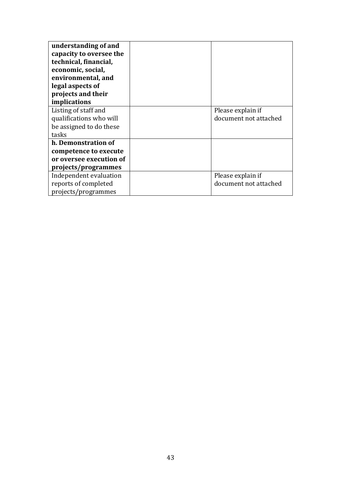| understanding of and<br>capacity to oversee the<br>technical, financial,<br>economic, social,<br>environmental, and<br>legal aspects of<br>projects and their<br>implications |                       |
|-------------------------------------------------------------------------------------------------------------------------------------------------------------------------------|-----------------------|
| Listing of staff and                                                                                                                                                          | Please explain if     |
| qualifications who will                                                                                                                                                       | document not attached |
| be assigned to do these                                                                                                                                                       |                       |
| tasks                                                                                                                                                                         |                       |
| h. Demonstration of                                                                                                                                                           |                       |
| competence to execute                                                                                                                                                         |                       |
| or oversee execution of                                                                                                                                                       |                       |
| projects/programmes                                                                                                                                                           |                       |
| Independent evaluation                                                                                                                                                        | Please explain if     |
| reports of completed                                                                                                                                                          | document not attached |
| projects/programmes                                                                                                                                                           |                       |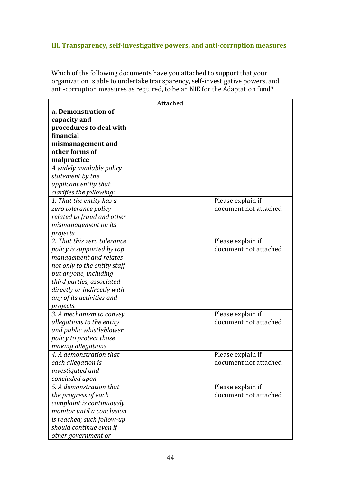## **III. Transparency, self-investigative powers, and anti-corruption measures**

Which of the following documents have you attached to support that your organization is able to undertake transparency, self-investigative powers, and anti-corruption measures as required, to be an NIE for the Adaptation fund?

|                              | Attached |                       |
|------------------------------|----------|-----------------------|
| a. Demonstration of          |          |                       |
| capacity and                 |          |                       |
| procedures to deal with      |          |                       |
| financial                    |          |                       |
| mismanagement and            |          |                       |
| other forms of               |          |                       |
| malpractice                  |          |                       |
| A widely available policy    |          |                       |
| statement by the             |          |                       |
| applicant entity that        |          |                       |
| clarifies the following:     |          |                       |
| 1. That the entity has a     |          | Please explain if     |
| zero tolerance policy        |          | document not attached |
| related to fraud and other   |          |                       |
| mismanagement on its         |          |                       |
| projects.                    |          |                       |
| 2. That this zero tolerance  |          | Please explain if     |
| policy is supported by top   |          | document not attached |
| management and relates       |          |                       |
| not only to the entity staff |          |                       |
| but anyone, including        |          |                       |
| third parties, associated    |          |                       |
| directly or indirectly with  |          |                       |
| any of its activities and    |          |                       |
| projects.                    |          |                       |
| 3. A mechanism to convey     |          | Please explain if     |
| allegations to the entity    |          | document not attached |
| and public whistleblower     |          |                       |
| policy to protect those      |          |                       |
| making allegations           |          |                       |
| 4. A demonstration that      |          | Please explain if     |
| each allegation is           |          | document not attached |
| investigated and             |          |                       |
| concluded upon.              |          |                       |
| 5. A demonstration that      |          | Please explain if     |
| the progress of each         |          | document not attached |
| complaint is continuously    |          |                       |
| monitor until a conclusion   |          |                       |
| is reached; such follow-up   |          |                       |
| should continue even if      |          |                       |
| other government or          |          |                       |